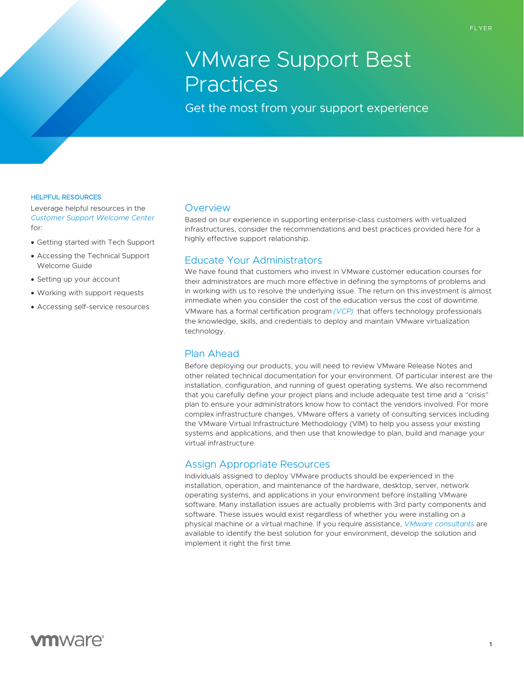# VMware Support Best **Practices**

Get the most from your support experience

#### HELPFUL RESOURCES

Leverage helpful resources in the *[Customer Support Welcome Center](https://www.vmware.com/support/welcome-center.html)* for:

- Getting started with Tech Support
- Accessing the Technical Support Welcome Guide
- Setting up your account
- Working with support requests
- Accessing self-service resources

#### **Overview**

Based on our experience in supporting enterprise-class customers with virtualized infrastructures, consider the recommendations and best practices provided here for a highly effective support relationship.

## Educate Your Administrators

We have found that customers who invest in VMware customer education courses for their administrators are much more effective in defining the symptoms of problems and in working with us to resolve the underlying issue. The return on this investment is almost immediate when you consider the cost of the education versus the cost of downtime. VMware has a formal certification program *[\(VCP\)](https://www.vmware.com/learning.html)* that offers technology professionals the knowledge, skills, and credentials to deploy and maintain VMware virtualization technology.

# Plan Ahead

Before deploying our products, you will need to review VMware Release Notes and other related technical documentation for your environment. Of particular interest are the installation, configuration, and running of guest operating systems. We also recommend that you carefully define your project plans and include adequate test time and a "crisis" plan to ensure your administrators know how to contact the vendors involved. For more complex infrastructure changes, VMware offers a variety of consulting services including the VMware Virtual Infrastructure Methodology (VIM) to help you assess your existing systems and applications, and then use that knowledge to plan, build and manage your virtual infrastructure.

#### Assign Appropriate Resources

Individuals assigned to deploy VMware products should be experienced in the installation, operation, and maintenance of the hardware, desktop, server, network operating systems, and applications in your environment before installing VMware software. Many installation issues are actually problems with 3rd party components and software. These issues would exist regardless of whether you were installing on a physical machine or a virtual machine. If you require assistance, *[VMware consultants](https://www.vmware.com/professional-services.html)* are available to identify the best solution for your environment, develop the solution and implement it right the first time.